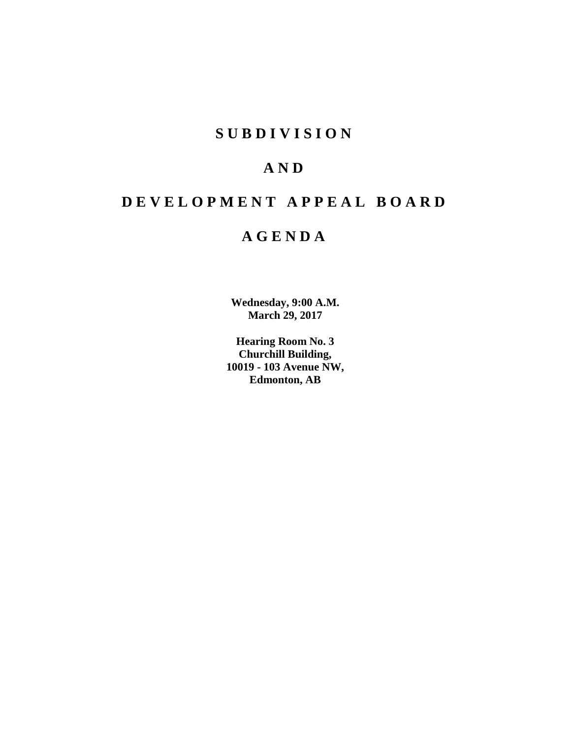# **SUBDIVISION**

# **AND**

# **DEVELOPMENT APPEAL BOARD**

# **AGENDA**

**Wednesday, 9:00 A.M. March 29, 2017**

**Hearing Room No. 3 Churchill Building, 10019 - 103 Avenue NW, Edmonton, AB**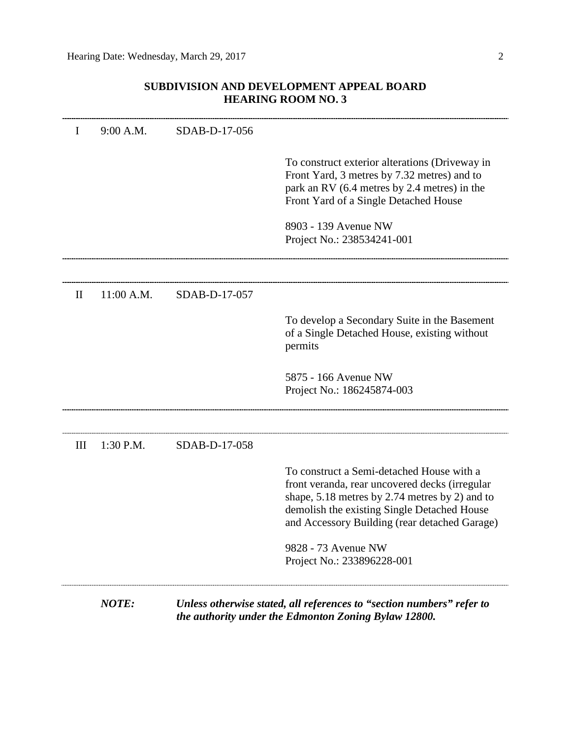# **SUBDIVISION AND DEVELOPMENT APPEAL BOARD HEARING ROOM NO. 3**

|              | NOTE:      | the authority under the Edmonton Zoning Bylaw 12800. | Unless otherwise stated, all references to "section numbers" refer to                                                                                                                                                                           |
|--------------|------------|------------------------------------------------------|-------------------------------------------------------------------------------------------------------------------------------------------------------------------------------------------------------------------------------------------------|
|              |            |                                                      | 9828 - 73 Avenue NW<br>Project No.: 233896228-001                                                                                                                                                                                               |
|              |            |                                                      | To construct a Semi-detached House with a<br>front veranda, rear uncovered decks (irregular<br>shape, $5.18$ metres by 2.74 metres by 2) and to<br>demolish the existing Single Detached House<br>and Accessory Building (rear detached Garage) |
| III          | 1:30 P.M.  | SDAB-D-17-058                                        |                                                                                                                                                                                                                                                 |
|              |            |                                                      | 5875 - 166 Avenue NW<br>Project No.: 186245874-003                                                                                                                                                                                              |
|              |            |                                                      | To develop a Secondary Suite in the Basement<br>of a Single Detached House, existing without<br>permits                                                                                                                                         |
| $\mathbf{I}$ | 11:00 A.M. | SDAB-D-17-057                                        |                                                                                                                                                                                                                                                 |
|              |            |                                                      | 8903 - 139 Avenue NW<br>Project No.: 238534241-001                                                                                                                                                                                              |
|              |            |                                                      | To construct exterior alterations (Driveway in<br>Front Yard, 3 metres by 7.32 metres) and to<br>park an RV (6.4 metres by 2.4 metres) in the<br>Front Yard of a Single Detached House                                                          |
| $\mathbf{I}$ | 9:00 A.M.  | SDAB-D-17-056                                        |                                                                                                                                                                                                                                                 |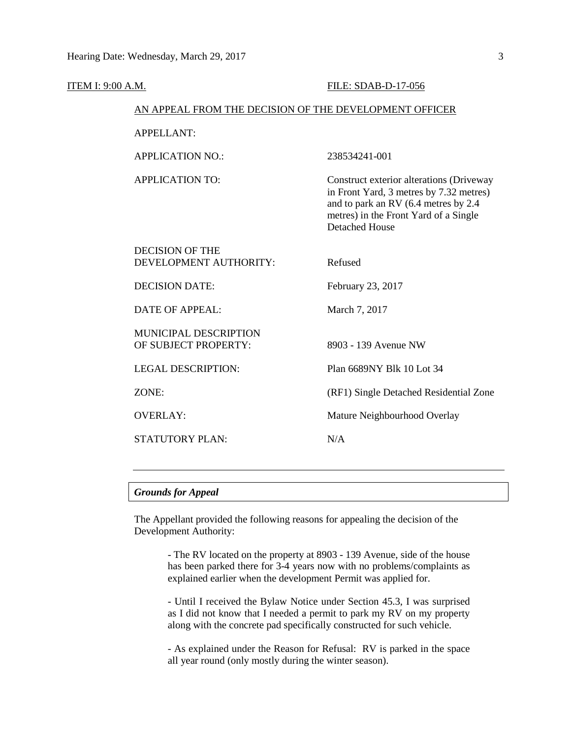| ITEM I: 9:00 A.M.                                      | FILE: SDAB-D-17-056                                                                                                                                                                           |
|--------------------------------------------------------|-----------------------------------------------------------------------------------------------------------------------------------------------------------------------------------------------|
| AN APPEAL FROM THE DECISION OF THE DEVELOPMENT OFFICER |                                                                                                                                                                                               |
| <b>APPELLANT:</b>                                      |                                                                                                                                                                                               |
| <b>APPLICATION NO.:</b>                                | 238534241-001                                                                                                                                                                                 |
| <b>APPLICATION TO:</b>                                 | Construct exterior alterations (Driveway<br>in Front Yard, 3 metres by 7.32 metres)<br>and to park an RV (6.4 metres by 2.4<br>metres) in the Front Yard of a Single<br><b>Detached House</b> |
| <b>DECISION OF THE</b><br>DEVELOPMENT AUTHORITY:       | Refused                                                                                                                                                                                       |
| <b>DECISION DATE:</b>                                  | February 23, 2017                                                                                                                                                                             |
| <b>DATE OF APPEAL:</b>                                 | March 7, 2017                                                                                                                                                                                 |
| MUNICIPAL DESCRIPTION<br>OF SUBJECT PROPERTY:          | 8903 - 139 Avenue NW                                                                                                                                                                          |
| <b>LEGAL DESCRIPTION:</b>                              | Plan 6689NY Blk 10 Lot 34                                                                                                                                                                     |
| ZONE:                                                  | (RF1) Single Detached Residential Zone                                                                                                                                                        |
| <b>OVERLAY:</b>                                        | Mature Neighbourhood Overlay                                                                                                                                                                  |
| <b>STATUTORY PLAN:</b>                                 | N/A                                                                                                                                                                                           |
|                                                        |                                                                                                                                                                                               |

# *Grounds for Appeal*

The Appellant provided the following reasons for appealing the decision of the Development Authority:

> - The RV located on the property at 8903 - 139 Avenue, side of the house has been parked there for 3-4 years now with no problems/complaints as explained earlier when the development Permit was applied for.

> - Until I received the Bylaw Notice under Section 45.3, I was surprised as I did not know that I needed a permit to park my RV on my property along with the concrete pad specifically constructed for such vehicle.

> - As explained under the Reason for Refusal: RV is parked in the space all year round (only mostly during the winter season).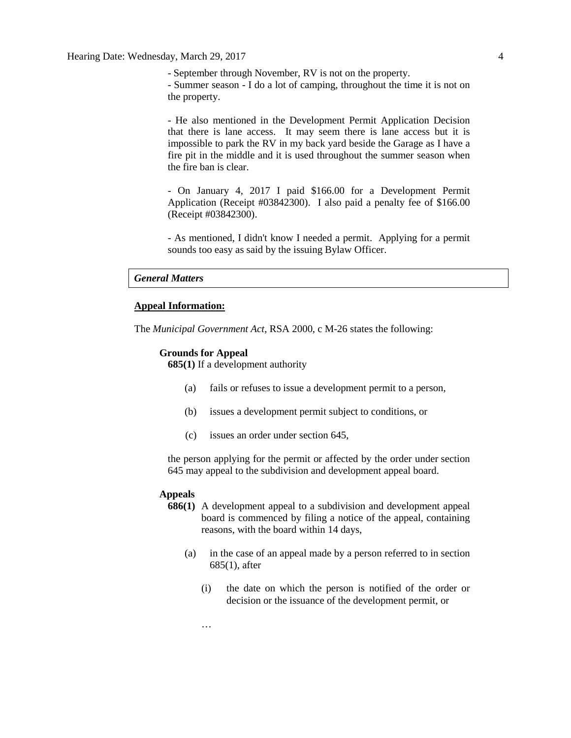- September through November, RV is not on the property. - Summer season - I do a lot of camping, throughout the time it is not on the property.

- He also mentioned in the Development Permit Application Decision that there is lane access. It may seem there is lane access but it is impossible to park the RV in my back yard beside the Garage as I have a fire pit in the middle and it is used throughout the summer season when the fire ban is clear.

- On January 4, 2017 I paid \$166.00 for a Development Permit Application (Receipt #03842300). I also paid a penalty fee of \$166.00 (Receipt #03842300).

- As mentioned, I didn't know I needed a permit. Applying for a permit sounds too easy as said by the issuing Bylaw Officer.

#### *General Matters*

#### **Appeal Information:**

The *Municipal Government Act*, RSA 2000, c M-26 states the following:

#### **Grounds for Appeal**

**685(1)** If a development authority

- (a) fails or refuses to issue a development permit to a person,
- (b) issues a development permit subject to conditions, or
- (c) issues an order under section 645,

the person applying for the permit or affected by the order under section 645 may appeal to the subdivision and development appeal board.

#### **Appeals**

- **686(1)** A development appeal to a subdivision and development appeal board is commenced by filing a notice of the appeal, containing reasons, with the board within 14 days,
	- (a) in the case of an appeal made by a person referred to in section 685(1), after
		- (i) the date on which the person is notified of the order or decision or the issuance of the development permit, or

…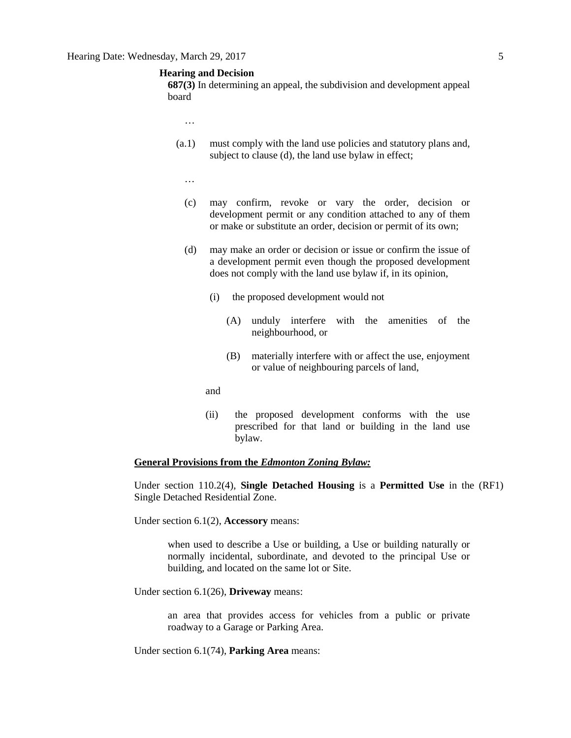# **Hearing and Decision**

**687(3)** In determining an appeal, the subdivision and development appeal board

- …
- (a.1) must comply with the land use policies and statutory plans and, subject to clause (d), the land use bylaw in effect;
	- …
	- (c) may confirm, revoke or vary the order, decision or development permit or any condition attached to any of them or make or substitute an order, decision or permit of its own;
	- (d) may make an order or decision or issue or confirm the issue of a development permit even though the proposed development does not comply with the land use bylaw if, in its opinion,
		- (i) the proposed development would not
			- (A) unduly interfere with the amenities of the neighbourhood, or
			- (B) materially interfere with or affect the use, enjoyment or value of neighbouring parcels of land,
		- and
		- (ii) the proposed development conforms with the use prescribed for that land or building in the land use bylaw.

#### **General Provisions from the** *Edmonton Zoning Bylaw:*

Under section 110.2(4), **Single Detached Housing** is a **Permitted Use** in the (RF1) Single Detached Residential Zone.

Under section 6.1(2), **Accessory** means:

when used to describe a Use or building, a Use or building naturally or normally incidental, subordinate, and devoted to the principal Use or building, and located on the same lot or Site.

Under section 6.1(26), **Driveway** means:

an area that provides access for vehicles from a public or private roadway to a Garage or Parking Area.

Under section 6.1(74), **Parking Area** means: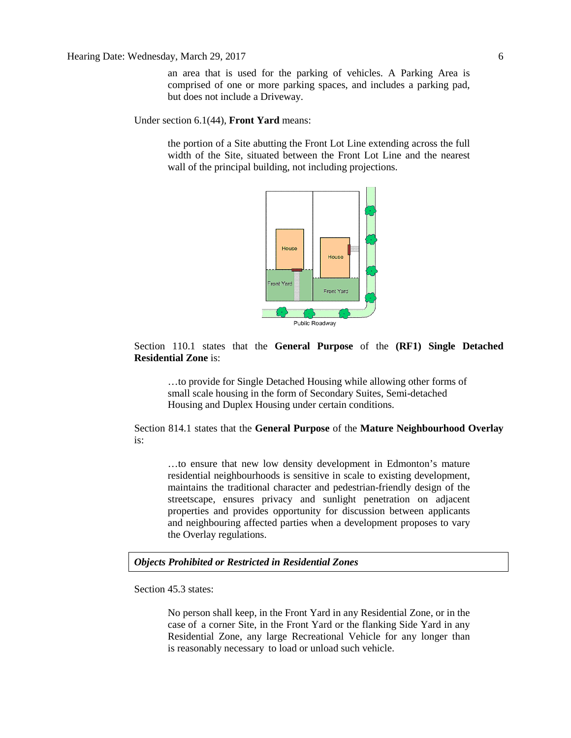Hearing Date: Wednesday, March 29, 2017 6

an area that is used for the parking of vehicles. A Parking Area is comprised of one or more parking spaces, and includes a parking pad, but does not include a Driveway.

Under section 6.1(44), **Front Yard** means:

the portion of a Site abutting the Front Lot Line extending across the full width of the Site, situated between the Front Lot Line and the nearest wall of the principal building, not including projections.



# Section 110.1 states that the **General Purpose** of the **(RF1) Single Detached Residential Zone** is:

…to provide for Single Detached Housing while allowing other forms of small scale housing in the form of Secondary Suites, Semi-detached Housing and Duplex Housing under certain conditions.

Section 814.1 states that the **General Purpose** of the **Mature Neighbourhood Overlay** is:

…to ensure that new low density development in Edmonton's mature residential neighbourhoods is sensitive in scale to existing development, maintains the traditional character and pedestrian-friendly design of the streetscape, ensures privacy and sunlight penetration on adjacent properties and provides opportunity for discussion between applicants and neighbouring affected parties when a development proposes to vary the Overlay regulations.

*Objects Prohibited or Restricted in Residential Zones*

Section 45.3 states:

No person shall keep, in the Front Yard in any Residential Zone, or in the case of a corner Site, in the Front Yard or the flanking Side Yard in any Residential Zone, any large Recreational Vehicle for any longer than is reasonably necessary to load or unload such vehicle.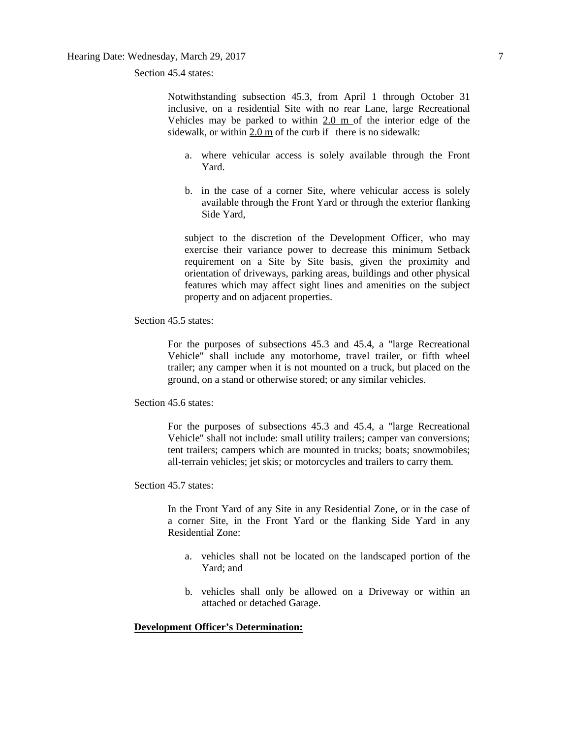Section 45.4 states:

Notwithstanding subsection 45.3, from April 1 through October 31 inclusive, on a residential Site with no rear Lane, large Recreational Vehicles may be parked to within 2.0 m of the interior edge of the sidewalk, or within 2.0 m of the curb if there is no sidewalk:

- a. where vehicular access is solely available through the Front Yard.
- b. in the case of a corner Site, where vehicular access is solely available through the Front Yard or through the exterior flanking Side Yard,

subject to the discretion of the Development Officer, who may exercise their variance power to decrease this minimum Setback requirement on a Site by Site basis, given the proximity and orientation of driveways, parking areas, buildings and other physical features which may affect sight lines and amenities on the subject property and on adjacent properties.

Section 45.5 states:

For the purposes of subsections 45.3 and 45.4, a "large Recreational Vehicle" shall include any motorhome, travel trailer, or fifth wheel trailer; any camper when it is not mounted on a truck, but placed on the ground, on a stand or otherwise stored; or any similar vehicles.

Section 45.6 states:

For the purposes of subsections 45.3 and 45.4, a "large Recreational Vehicle" shall not include: small utility trailers; camper van conversions; tent trailers; campers which are mounted in trucks; boats; snowmobiles; all-terrain vehicles; jet skis; or motorcycles and trailers to carry them.

Section 45.7 states:

In the Front Yard of any Site in any Residential Zone, or in the case of a corner Site, in the Front Yard or the flanking Side Yard in any Residential Zone:

- a. vehicles shall not be located on the landscaped portion of the Yard; and
- b. vehicles shall only be allowed on a Driveway or within an attached or detached Garage.

# **Development Officer's Determination:**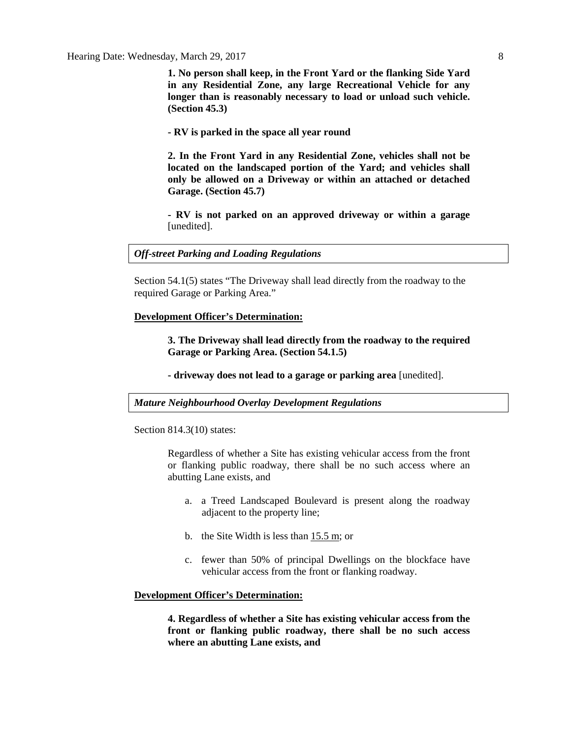**1. No person shall keep, in the Front Yard or the flanking Side Yard in any Residential Zone, any large Recreational Vehicle for any longer than is reasonably necessary to load or unload such vehicle. (Section 45.3)**

**- RV is parked in the space all year round**

**2. In the Front Yard in any Residential Zone, vehicles shall not be located on the landscaped portion of the Yard; and vehicles shall only be allowed on a Driveway or within an attached or detached Garage. (Section 45.7)**

**- RV is not parked on an approved driveway or within a garage**  [unedited].

#### *Off-street Parking and Loading Regulations*

Section 54.1(5) states "The Driveway shall lead directly from the roadway to the required Garage or Parking Area."

#### **Development Officer's Determination:**

**3. The Driveway shall lead directly from the roadway to the required Garage or Parking Area. (Section 54.1.5)**

**- driveway does not lead to a garage or parking area** [unedited].

*Mature Neighbourhood Overlay Development Regulations*

Section 814.3(10) states:

Regardless of whether a Site has existing vehicular access from the front or flanking public roadway, there shall be no such access where an abutting Lane exists, and

- a. a Treed Landscaped Boulevard is present along the roadway adjacent to the property line;
- b. the Site Width is less than [15.5](javascript:void(0);) m; or
- c. fewer than 50% of principal Dwellings on the blockface have vehicular access from the front or flanking roadway.

#### **Development Officer's Determination:**

**4. Regardless of whether a Site has existing vehicular access from the front or flanking public roadway, there shall be no such access where an abutting Lane exists, and**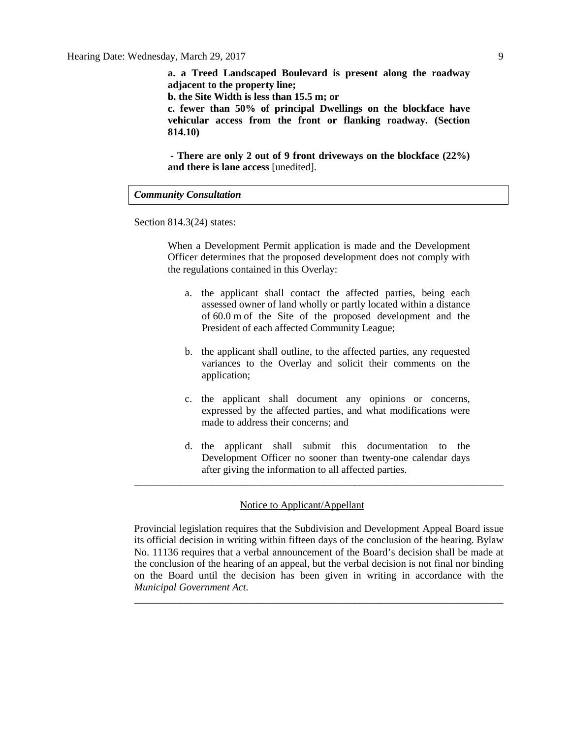**a. a Treed Landscaped Boulevard is present along the roadway adjacent to the property line;**

**b. the Site Width is less than 15.5 m; or**

**c. fewer than 50% of principal Dwellings on the blockface have vehicular access from the front or flanking roadway. (Section 814.10)**

**- There are only 2 out of 9 front driveways on the blockface (22%) and there is lane access** [unedited].

#### *Community Consultation*

Section 814.3(24) states:

When a Development Permit application is made and the Development Officer determines that the proposed development does not comply with the regulations contained in this Overlay:

- a. the applicant shall contact the affected parties, being each assessed owner of land wholly or partly located within a distance of [60.0](javascript:void(0);) m of the Site of the proposed development and the President of each affected Community League;
- b. the applicant shall outline, to the affected parties, any requested variances to the Overlay and solicit their comments on the application;
- c. the applicant shall document any opinions or concerns, expressed by the affected parties, and what modifications were made to address their concerns; and
- d. the applicant shall submit this documentation to the Development Officer no sooner than twenty-one calendar days after giving the information to all affected parties.

\_\_\_\_\_\_\_\_\_\_\_\_\_\_\_\_\_\_\_\_\_\_\_\_\_\_\_\_\_\_\_\_\_\_\_\_\_\_\_\_\_\_\_\_\_\_\_\_\_\_\_\_\_\_\_\_\_\_\_\_\_\_\_\_\_\_\_\_\_\_\_\_

# Notice to Applicant/Appellant

Provincial legislation requires that the Subdivision and Development Appeal Board issue its official decision in writing within fifteen days of the conclusion of the hearing. Bylaw No. 11136 requires that a verbal announcement of the Board's decision shall be made at the conclusion of the hearing of an appeal, but the verbal decision is not final nor binding on the Board until the decision has been given in writing in accordance with the *Municipal Government Act.*

\_\_\_\_\_\_\_\_\_\_\_\_\_\_\_\_\_\_\_\_\_\_\_\_\_\_\_\_\_\_\_\_\_\_\_\_\_\_\_\_\_\_\_\_\_\_\_\_\_\_\_\_\_\_\_\_\_\_\_\_\_\_\_\_\_\_\_\_\_\_\_\_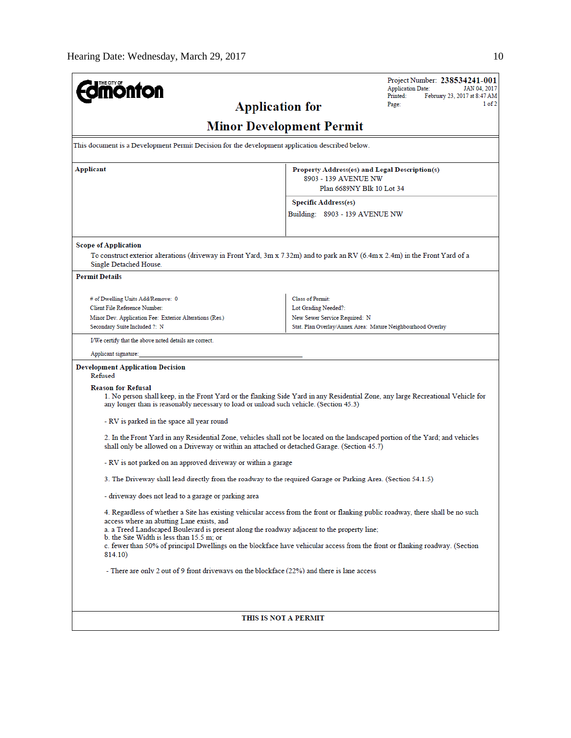| <b>mönton</b>                                                                                                                                                                                                                                                                                                                                                                                                                                                       | Project Number: 238534241-001<br><b>Application Date:</b><br>JAN 04, 2017<br>Printed:<br>February 23, 2017 at 8:47 AM                                                                                                           |  |  |  |  |
|---------------------------------------------------------------------------------------------------------------------------------------------------------------------------------------------------------------------------------------------------------------------------------------------------------------------------------------------------------------------------------------------------------------------------------------------------------------------|---------------------------------------------------------------------------------------------------------------------------------------------------------------------------------------------------------------------------------|--|--|--|--|
| <b>Application for</b>                                                                                                                                                                                                                                                                                                                                                                                                                                              | 1 of 2<br>Page:                                                                                                                                                                                                                 |  |  |  |  |
|                                                                                                                                                                                                                                                                                                                                                                                                                                                                     | <b>Minor Development Permit</b>                                                                                                                                                                                                 |  |  |  |  |
| This document is a Development Permit Decision for the development application described below.                                                                                                                                                                                                                                                                                                                                                                     |                                                                                                                                                                                                                                 |  |  |  |  |
| Applicant                                                                                                                                                                                                                                                                                                                                                                                                                                                           | Property Address(es) and Legal Description(s)<br>8903 - 139 AVENUE NW                                                                                                                                                           |  |  |  |  |
|                                                                                                                                                                                                                                                                                                                                                                                                                                                                     | Plan 6689NY Blk 10 Lot 34<br><b>Specific Address(es)</b>                                                                                                                                                                        |  |  |  |  |
|                                                                                                                                                                                                                                                                                                                                                                                                                                                                     | Building: 8903 - 139 AVENUE NW                                                                                                                                                                                                  |  |  |  |  |
| <b>Scope of Application</b><br>To construct exterior alterations (driveway in Front Yard, 3m x 7.32m) and to park an RV (6.4m x 2.4m) in the Front Yard of a                                                                                                                                                                                                                                                                                                        |                                                                                                                                                                                                                                 |  |  |  |  |
| Single Detached House.                                                                                                                                                                                                                                                                                                                                                                                                                                              |                                                                                                                                                                                                                                 |  |  |  |  |
| <b>Permit Details</b>                                                                                                                                                                                                                                                                                                                                                                                                                                               |                                                                                                                                                                                                                                 |  |  |  |  |
| # of Dwelling Units Add/Remove: 0                                                                                                                                                                                                                                                                                                                                                                                                                                   | <b>Class of Permit:</b>                                                                                                                                                                                                         |  |  |  |  |
| Client File Reference Number:<br>Minor Dev. Application Fee: Exterior Alterations (Res.)                                                                                                                                                                                                                                                                                                                                                                            | Lot Grading Needed?:<br>New Sewer Service Required: N                                                                                                                                                                           |  |  |  |  |
| Secondary Suite Included ?: N                                                                                                                                                                                                                                                                                                                                                                                                                                       | Stat. Plan Overlay/Annex Area: Mature Neighbourhood Overlay                                                                                                                                                                     |  |  |  |  |
| I/We certify that the above noted details are correct.                                                                                                                                                                                                                                                                                                                                                                                                              |                                                                                                                                                                                                                                 |  |  |  |  |
| Applicant signature:                                                                                                                                                                                                                                                                                                                                                                                                                                                |                                                                                                                                                                                                                                 |  |  |  |  |
| <b>Development Application Decision</b><br>Refused                                                                                                                                                                                                                                                                                                                                                                                                                  |                                                                                                                                                                                                                                 |  |  |  |  |
| <b>Reason for Refusal</b><br>1. No person shall keep, in the Front Yard or the flanking Side Yard in any Residential Zone, any large Recreational Vehicle for<br>any longer than is reasonably necessary to load or unload such vehicle. (Section 45.3)                                                                                                                                                                                                             |                                                                                                                                                                                                                                 |  |  |  |  |
| - RV is parked in the space all year round                                                                                                                                                                                                                                                                                                                                                                                                                          |                                                                                                                                                                                                                                 |  |  |  |  |
|                                                                                                                                                                                                                                                                                                                                                                                                                                                                     | 2. In the Front Yard in any Residential Zone, vehicles shall not be located on the landscaped portion of the Yard; and vehicles<br>shall only be allowed on a Driveway or within an attached or detached Garage. (Section 45.7) |  |  |  |  |
| - RV is not parked on an approved driveway or within a garage                                                                                                                                                                                                                                                                                                                                                                                                       |                                                                                                                                                                                                                                 |  |  |  |  |
| 3. The Driveway shall lead directly from the roadway to the required Garage or Parking Area. (Section 54.1.5)                                                                                                                                                                                                                                                                                                                                                       |                                                                                                                                                                                                                                 |  |  |  |  |
| - driveway does not lead to a garage or parking area                                                                                                                                                                                                                                                                                                                                                                                                                |                                                                                                                                                                                                                                 |  |  |  |  |
| 4. Regardless of whether a Site has existing vehicular access from the front or flanking public roadway, there shall be no such<br>access where an abutting Lane exists, and<br>a. a Treed Landscaped Boulevard is present along the roadway adjacent to the property line;<br>b. the Site Width is less than 15.5 m; or<br>c. fewer than 50% of principal Dwellings on the blockface have vehicular access from the front or flanking roadway. (Section<br>814.10) |                                                                                                                                                                                                                                 |  |  |  |  |
| - There are only 2 out of 9 front driveways on the blockface (22%) and there is lane access                                                                                                                                                                                                                                                                                                                                                                         |                                                                                                                                                                                                                                 |  |  |  |  |
|                                                                                                                                                                                                                                                                                                                                                                                                                                                                     |                                                                                                                                                                                                                                 |  |  |  |  |
|                                                                                                                                                                                                                                                                                                                                                                                                                                                                     |                                                                                                                                                                                                                                 |  |  |  |  |
| THIS IS NOT A PERMIT                                                                                                                                                                                                                                                                                                                                                                                                                                                |                                                                                                                                                                                                                                 |  |  |  |  |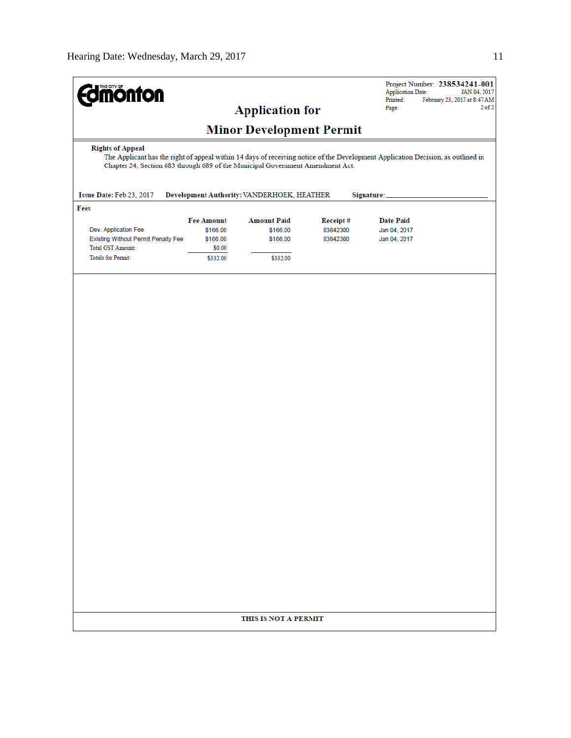| $2$ of $2$<br>Page:<br><b>Application for</b><br><b>Minor Development Permit</b><br><b>Rights of Appeal</b><br>The Applicant has the right of appeal within 14 days of receiving notice of the Development Application Decision, as outlined in<br>Chapter 24, Section 683 through 689 of the Municipal Government Amendment Act.<br>Issue Date: Feb 23, 2017<br>Development Authority: VANDERHOEK, HEATHER<br>Signature:<br>Fees<br><b>Fee Amount</b><br><b>Amount Paid</b><br>Receipt#<br><b>Date Paid</b><br>Dev. Application Fee<br>\$166.00<br>\$166.00<br>03842300<br>Jan 04, 2017<br>Existing Without Permit Penalty Fee<br>\$166.00<br>\$166.00<br>03842300<br>Jan 04, 2017<br>Total GST Amount:<br>\$0.00<br><b>Totals for Permit:</b><br>\$332.00<br>\$332.00 | <b>dmönton</b> | Project Number: 238534241-001<br><b>Application Date:</b><br>JAN 04, 2017<br>Printed:<br>February 23, 2017 at 8:47 AM |  |  |
|-------------------------------------------------------------------------------------------------------------------------------------------------------------------------------------------------------------------------------------------------------------------------------------------------------------------------------------------------------------------------------------------------------------------------------------------------------------------------------------------------------------------------------------------------------------------------------------------------------------------------------------------------------------------------------------------------------------------------------------------------------------------------|----------------|-----------------------------------------------------------------------------------------------------------------------|--|--|
|                                                                                                                                                                                                                                                                                                                                                                                                                                                                                                                                                                                                                                                                                                                                                                         |                |                                                                                                                       |  |  |
|                                                                                                                                                                                                                                                                                                                                                                                                                                                                                                                                                                                                                                                                                                                                                                         |                |                                                                                                                       |  |  |
|                                                                                                                                                                                                                                                                                                                                                                                                                                                                                                                                                                                                                                                                                                                                                                         |                |                                                                                                                       |  |  |
|                                                                                                                                                                                                                                                                                                                                                                                                                                                                                                                                                                                                                                                                                                                                                                         |                |                                                                                                                       |  |  |
|                                                                                                                                                                                                                                                                                                                                                                                                                                                                                                                                                                                                                                                                                                                                                                         |                |                                                                                                                       |  |  |
|                                                                                                                                                                                                                                                                                                                                                                                                                                                                                                                                                                                                                                                                                                                                                                         |                |                                                                                                                       |  |  |
|                                                                                                                                                                                                                                                                                                                                                                                                                                                                                                                                                                                                                                                                                                                                                                         |                |                                                                                                                       |  |  |
|                                                                                                                                                                                                                                                                                                                                                                                                                                                                                                                                                                                                                                                                                                                                                                         |                |                                                                                                                       |  |  |
|                                                                                                                                                                                                                                                                                                                                                                                                                                                                                                                                                                                                                                                                                                                                                                         |                |                                                                                                                       |  |  |
|                                                                                                                                                                                                                                                                                                                                                                                                                                                                                                                                                                                                                                                                                                                                                                         |                |                                                                                                                       |  |  |
|                                                                                                                                                                                                                                                                                                                                                                                                                                                                                                                                                                                                                                                                                                                                                                         |                | THIS IS NOT A PERMIT                                                                                                  |  |  |
|                                                                                                                                                                                                                                                                                                                                                                                                                                                                                                                                                                                                                                                                                                                                                                         |                |                                                                                                                       |  |  |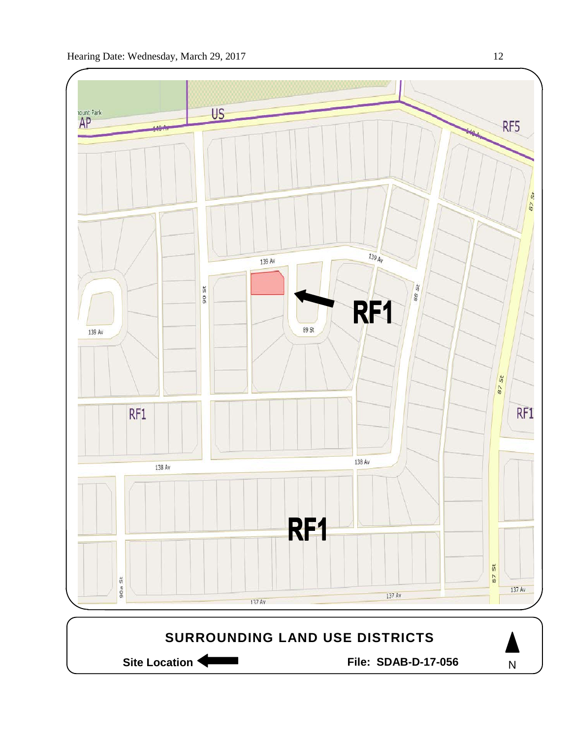

Site Location **Community Contract Contract Contract Contract Contract Contract Contract Contract Contract Contract Contract Contract Contract Contract Contract Contract Contract Contract Contract Contract Contract Contract** 

N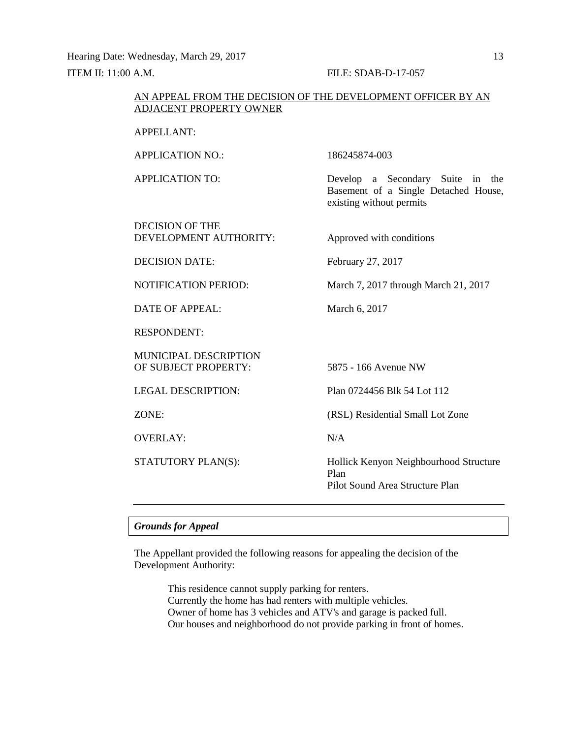Hearing Date: Wednesday, March 29, 2017 13

# **ITEM II: 11:00 A.M. FILE: SDAB-D-17-057**

# AN APPEAL FROM THE DECISION OF THE DEVELOPMENT OFFICER BY AN ADJACENT PROPERTY OWNER

APPELLANT:

APPLICATION NO.: 186245874-003

APPLICATION TO: Develop a Secondary Suite in the Basement of a Single Detached House,

DECISION OF THE DEVELOPMENT AUTHORITY: Approved with conditions

existing without permits

DECISION DATE: February 27, 2017

NOTIFICATION PERIOD: March 7, 2017 through March 21, 2017

DATE OF APPEAL: March 6, 2017

RESPONDENT:

MUNICIPAL DESCRIPTION OF SUBJECT PROPERTY: 5875 - 166 Avenue NW

OVERLAY: N/A

LEGAL DESCRIPTION: Plan 0724456 Blk 54 Lot 112

ZONE: (RSL) Residential Small Lot Zone

STATUTORY PLAN(S): Hollick Kenyon Neighbourhood Structure Plan Pilot Sound Area Structure Plan

# *Grounds for Appeal*

The Appellant provided the following reasons for appealing the decision of the Development Authority:

> This residence cannot supply parking for renters. Currently the home has had renters with multiple vehicles. Owner of home has 3 vehicles and ATV's and garage is packed full. Our houses and neighborhood do not provide parking in front of homes.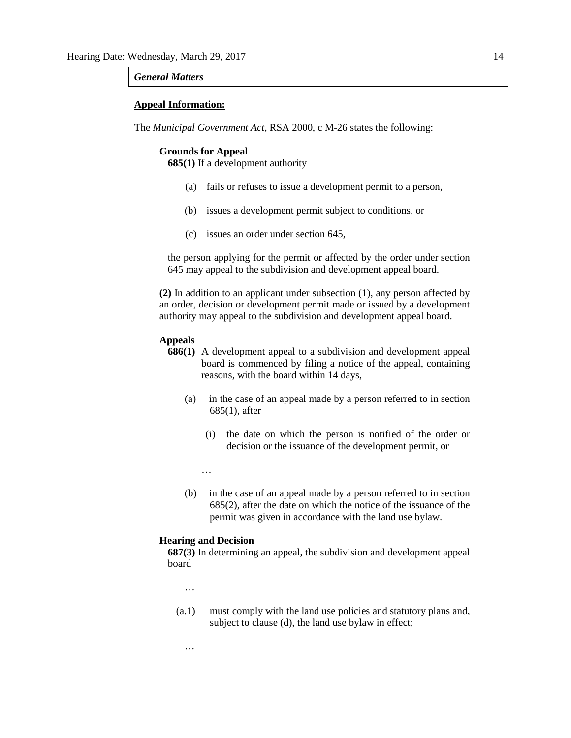#### *General Matters*

#### **Appeal Information:**

The *Municipal Government Act*, RSA 2000, c M-26 states the following:

#### **Grounds for Appeal**

**685(1)** If a development authority

- (a) fails or refuses to issue a development permit to a person,
- (b) issues a development permit subject to conditions, or
- (c) issues an order under section 645,

the person applying for the permit or affected by the order under section 645 may appeal to the subdivision and development appeal board.

**(2)** In addition to an applicant under subsection (1), any person affected by an order, decision or development permit made or issued by a development authority may appeal to the subdivision and development appeal board.

# **Appeals**

- **686(1)** A development appeal to a subdivision and development appeal board is commenced by filing a notice of the appeal, containing reasons, with the board within 14 days,
	- (a) in the case of an appeal made by a person referred to in section 685(1), after
		- (i) the date on which the person is notified of the order or decision or the issuance of the development permit, or

…

(b) in the case of an appeal made by a person referred to in section 685(2), after the date on which the notice of the issuance of the permit was given in accordance with the land use bylaw.

#### **Hearing and Decision**

**687(3)** In determining an appeal, the subdivision and development appeal board

…

…

(a.1) must comply with the land use policies and statutory plans and, subject to clause (d), the land use bylaw in effect;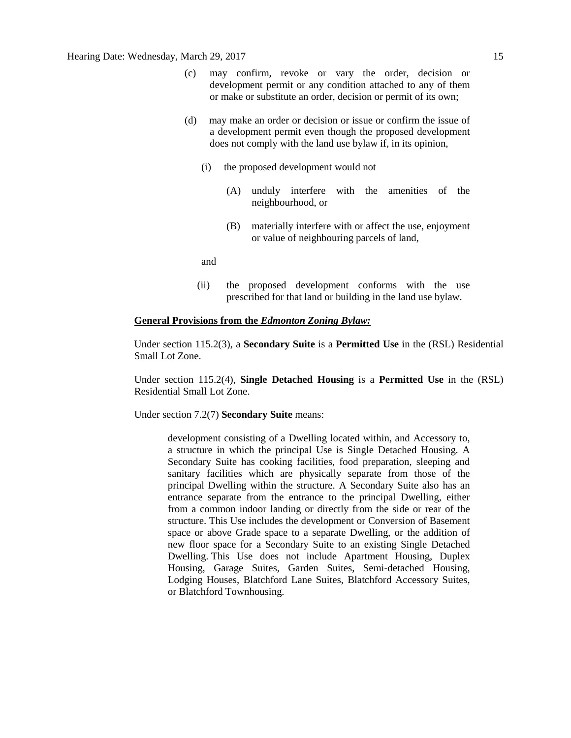- (c) may confirm, revoke or vary the order, decision or development permit or any condition attached to any of them or make or substitute an order, decision or permit of its own;
- (d) may make an order or decision or issue or confirm the issue of a development permit even though the proposed development does not comply with the land use bylaw if, in its opinion,
	- (i) the proposed development would not
		- (A) unduly interfere with the amenities of the neighbourhood, or
		- (B) materially interfere with or affect the use, enjoyment or value of neighbouring parcels of land,

and

(ii) the proposed development conforms with the use prescribed for that land or building in the land use bylaw.

#### **General Provisions from the** *Edmonton Zoning Bylaw:*

Under section 115.2(3), a **Secondary Suite** is a **Permitted Use** in the (RSL) Residential Small Lot Zone.

Under section 115.2(4), **Single Detached Housing** is a **Permitted Use** in the (RSL) Residential Small Lot Zone.

Under section 7.2(7) **Secondary Suite** means:

development consisting of a Dwelling located within, and Accessory to, a structure in which the principal Use is Single Detached Housing. A Secondary Suite has cooking facilities, food preparation, sleeping and sanitary facilities which are physically separate from those of the principal Dwelling within the structure. A Secondary Suite also has an entrance separate from the entrance to the principal Dwelling, either from a common indoor landing or directly from the side or rear of the structure. This Use includes the development or Conversion of Basement space or above Grade space to a separate Dwelling, or the addition of new floor space for a Secondary Suite to an existing Single Detached Dwelling. This Use does not include Apartment Housing, Duplex Housing, Garage Suites, Garden Suites, Semi-detached Housing, Lodging Houses, Blatchford Lane Suites, Blatchford Accessory Suites, or Blatchford Townhousing.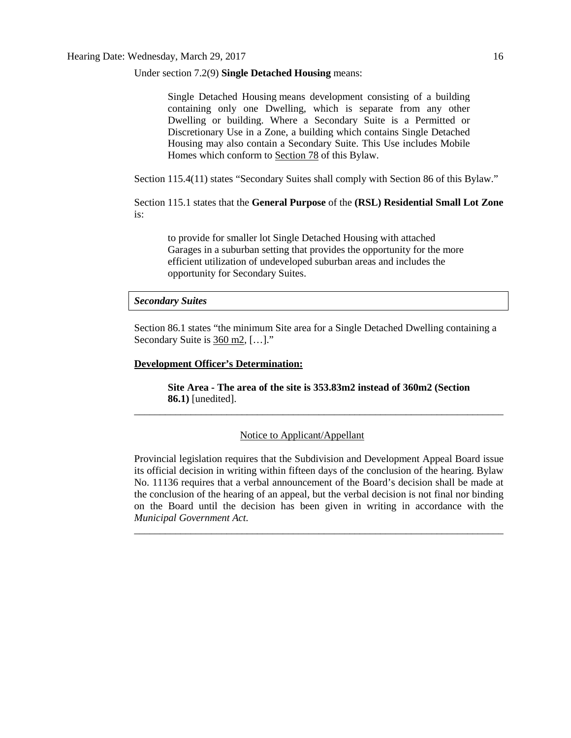Under section 7.2(9) **Single Detached Housing** means:

 Single Detached Housing means development consisting of a building containing only one Dwelling, which is separate from any other Dwelling or building. Where a Secondary Suite is a Permitted or Discretionary Use in a Zone, a building which contains Single Detached Housing may also contain a Secondary Suite. This Use includes Mobile Homes which conform to [Section 78](http://webdocs.edmonton.ca/InfraPlan/zoningbylaw/ZoningBylaw/Part1/Special_Land/78__Mobile_Homes.htm) of this Bylaw.

Section 115.4(11) states "Secondary Suites shall comply with Section 86 of this Bylaw."

Section 115.1 states that the **General Purpose** of the **(RSL) Residential Small Lot Zone**  is:

to provide for smaller lot Single Detached Housing with attached Garages in a suburban setting that provides the opportunity for the more efficient utilization of undeveloped suburban areas and includes the opportunity for Secondary Suites.

#### *Secondary Suites*

Section 86.1 states "the minimum Site area for a Single Detached Dwelling containing a Secondary Suite is 360 m2, […]."

# **Development Officer's Determination:**

**Site Area - The area of the site is 353.83m2 instead of 360m2 (Section 86.1)** [unedited]. \_\_\_\_\_\_\_\_\_\_\_\_\_\_\_\_\_\_\_\_\_\_\_\_\_\_\_\_\_\_\_\_\_\_\_\_\_\_\_\_\_\_\_\_\_\_\_\_\_\_\_\_\_\_\_\_\_\_\_\_\_\_\_\_\_\_\_\_\_\_\_\_

# Notice to Applicant/Appellant

Provincial legislation requires that the Subdivision and Development Appeal Board issue its official decision in writing within fifteen days of the conclusion of the hearing. Bylaw No. 11136 requires that a verbal announcement of the Board's decision shall be made at the conclusion of the hearing of an appeal, but the verbal decision is not final nor binding on the Board until the decision has been given in writing in accordance with the *Municipal Government Act.*

\_\_\_\_\_\_\_\_\_\_\_\_\_\_\_\_\_\_\_\_\_\_\_\_\_\_\_\_\_\_\_\_\_\_\_\_\_\_\_\_\_\_\_\_\_\_\_\_\_\_\_\_\_\_\_\_\_\_\_\_\_\_\_\_\_\_\_\_\_\_\_\_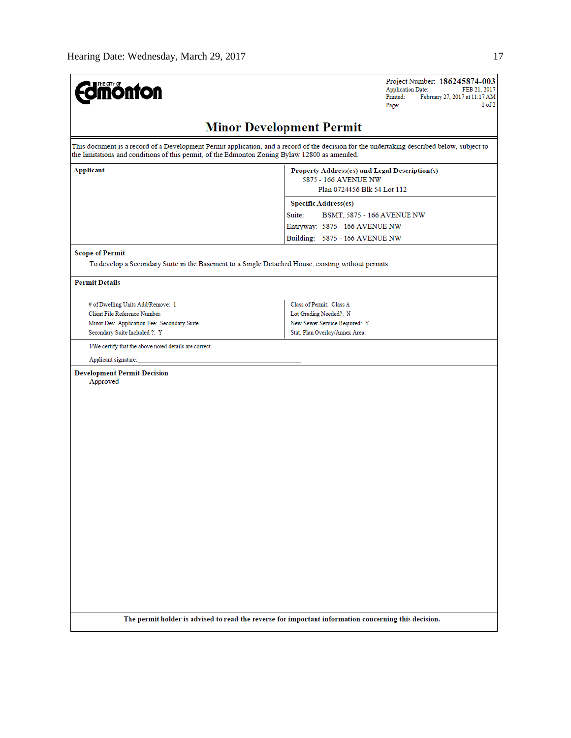| <b>dmonton</b>                                                                                     | Project Number: 186245874-003<br><b>Application Date:</b><br>FEB 21, 2017<br>Printed:<br>February 27, 2017 at 11:17 AM<br>1 of 2<br>Page:   |
|----------------------------------------------------------------------------------------------------|---------------------------------------------------------------------------------------------------------------------------------------------|
|                                                                                                    | <b>Minor Development Permit</b>                                                                                                             |
| the limitations and conditions of this permit, of the Edmonton Zoning Bylaw 12800 as amended.      | This document is a record of a Development Permit application, and a record of the decision for the undertaking described below, subject to |
| Applicant                                                                                          | Property Address(es) and Legal Description(s)<br>5875 - 166 AVENUE NW<br>Plan 0724456 Blk 54 Lot 112                                        |
|                                                                                                    | <b>Specific Address(es)</b>                                                                                                                 |
|                                                                                                    | Suite:<br>BSMT, 5875 - 166 AVENUE NW                                                                                                        |
|                                                                                                    | Entryway: 5875 - 166 AVENUE NW                                                                                                              |
|                                                                                                    | Building: 5875 - 166 AVENUE NW                                                                                                              |
| <b>Scope of Permit</b>                                                                             |                                                                                                                                             |
| To develop a Secondary Suite in the Basement to a Single Detached House, existing without permits. |                                                                                                                                             |
| <b>Permit Details</b>                                                                              |                                                                                                                                             |
| # of Dwelling Units Add/Remove: 1                                                                  | Class of Permit: Class A                                                                                                                    |
| Client File Reference Number:                                                                      | Lot Grading Needed?: N                                                                                                                      |
| Minor Dev. Application Fee: Secondary Suite                                                        | New Sewer Service Required: Y                                                                                                               |
| Secondary Suite Included ?: Y                                                                      | Stat. Plan Overlay/Annex Area:                                                                                                              |
| I/We certify that the above noted details are correct.                                             |                                                                                                                                             |
| Applicant signature:                                                                               |                                                                                                                                             |
| <b>Development Permit Decision</b><br>Approved                                                     |                                                                                                                                             |
|                                                                                                    |                                                                                                                                             |
|                                                                                                    |                                                                                                                                             |

The permit holder is advised to read the reverse for important information concerning this decision.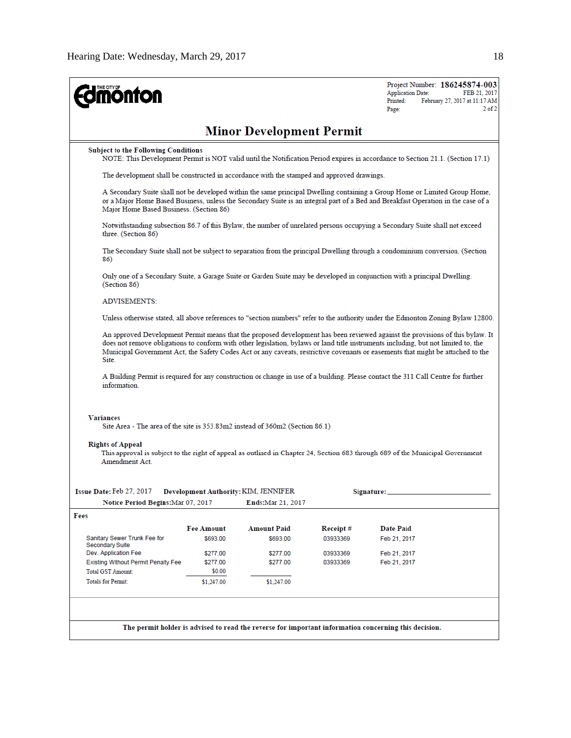| <b>ionton</b>                                                                                                                                 |                                                                                                                                                                              |                                      |          | Project Number: 186245874-003<br><b>Application Date:</b><br>FEB 21, 2017<br>Printed:<br>February 27, 2017 at 11:17 AM<br>2 of 2<br>Page:                                                                                                                                                                                                                                                              |  |  |
|-----------------------------------------------------------------------------------------------------------------------------------------------|------------------------------------------------------------------------------------------------------------------------------------------------------------------------------|--------------------------------------|----------|--------------------------------------------------------------------------------------------------------------------------------------------------------------------------------------------------------------------------------------------------------------------------------------------------------------------------------------------------------------------------------------------------------|--|--|
|                                                                                                                                               |                                                                                                                                                                              | <b>Minor Development Permit</b>      |          |                                                                                                                                                                                                                                                                                                                                                                                                        |  |  |
|                                                                                                                                               | <b>Subject to the Following Conditions</b><br>NOTE: This Development Permit is NOT valid until the Notification Period expires in accordance to Section 21.1. (Section 17.1) |                                      |          |                                                                                                                                                                                                                                                                                                                                                                                                        |  |  |
| The development shall be constructed in accordance with the stamped and approved drawings.                                                    |                                                                                                                                                                              |                                      |          |                                                                                                                                                                                                                                                                                                                                                                                                        |  |  |
| Major Home Based Business. (Section 86)                                                                                                       |                                                                                                                                                                              |                                      |          | A Secondary Suite shall not be developed within the same principal Dwelling containing a Group Home or Limited Group Home,<br>or a Major Home Based Business, unless the Secondary Suite is an integral part of a Bed and Breakfast Operation in the case of a                                                                                                                                         |  |  |
| three. (Section 86)                                                                                                                           |                                                                                                                                                                              |                                      |          | Notwithstanding subsection 86.7 of this Bylaw, the number of unrelated persons occupying a Secondary Suite shall not exceed                                                                                                                                                                                                                                                                            |  |  |
| 86)                                                                                                                                           |                                                                                                                                                                              |                                      |          | The Secondary Suite shall not be subject to separation from the principal Dwelling through a condominium conversion. (Section                                                                                                                                                                                                                                                                          |  |  |
| (Section 86)                                                                                                                                  |                                                                                                                                                                              |                                      |          | Only one of a Secondary Suite, a Garage Suite or Garden Suite may be developed in conjunction with a principal Dwelling.                                                                                                                                                                                                                                                                               |  |  |
| <b>ADVISEMENTS:</b>                                                                                                                           |                                                                                                                                                                              |                                      |          |                                                                                                                                                                                                                                                                                                                                                                                                        |  |  |
|                                                                                                                                               |                                                                                                                                                                              |                                      |          | Unless otherwise stated, all above references to "section numbers" refer to the authority under the Edmonton Zoning Bylaw 12800.                                                                                                                                                                                                                                                                       |  |  |
| Site.                                                                                                                                         |                                                                                                                                                                              |                                      |          | An approved Development Permit means that the proposed development has been reviewed against the provisions of this bylaw. It<br>does not remove obligations to conform with other legislation, bylaws or land title instruments including, but not limited to, the<br>Municipal Government Act, the Safety Codes Act or any caveats, restrictive covenants or easements that might be attached to the |  |  |
| information                                                                                                                                   |                                                                                                                                                                              |                                      |          | A Building Permit is required for any construction or change in use of a building. Please contact the 311 Call Centre for further                                                                                                                                                                                                                                                                      |  |  |
| <b>Variances</b><br>Site Area - The area of the site is 353.83m2 instead of 360m2 (Section 86.1)<br><b>Rights of Appeal</b><br>Amendment Act. |                                                                                                                                                                              |                                      |          | This approval is subject to the right of appeal as outlined in Chapter 24, Section 683 through 689 of the Municipal Government                                                                                                                                                                                                                                                                         |  |  |
| Issue Date: Feb 27, 2017                                                                                                                      |                                                                                                                                                                              | Development Authority: KIM, JENNIFER |          | Signature:                                                                                                                                                                                                                                                                                                                                                                                             |  |  |
| Notice Period Begins: Mar 07, 2017                                                                                                            |                                                                                                                                                                              | Ends: Mar 21, 2017                   |          |                                                                                                                                                                                                                                                                                                                                                                                                        |  |  |
| Fees                                                                                                                                          |                                                                                                                                                                              |                                      |          |                                                                                                                                                                                                                                                                                                                                                                                                        |  |  |
|                                                                                                                                               | <b>Fee Amount</b>                                                                                                                                                            | <b>Amount Paid</b>                   | Receipt# | <b>Date Paid</b>                                                                                                                                                                                                                                                                                                                                                                                       |  |  |
| Sanitary Sewer Trunk Fee for<br>Secondary Suite                                                                                               | \$693.00                                                                                                                                                                     | \$693.00                             | 03933369 | Feb 21, 2017                                                                                                                                                                                                                                                                                                                                                                                           |  |  |
| Dev. Application Fee                                                                                                                          | \$277.00                                                                                                                                                                     | \$277.00                             | 03933369 | Feb 21, 2017                                                                                                                                                                                                                                                                                                                                                                                           |  |  |
| <b>Existing Without Permit Penalty Fee</b>                                                                                                    | \$277.00                                                                                                                                                                     | \$277.00                             | 03933369 | Feb 21, 2017                                                                                                                                                                                                                                                                                                                                                                                           |  |  |
| <b>Total GST Amount:</b><br><b>Totals for Permit:</b>                                                                                         | \$0.00<br>\$1,247.00                                                                                                                                                         | \$1,247.00                           |          |                                                                                                                                                                                                                                                                                                                                                                                                        |  |  |
|                                                                                                                                               |                                                                                                                                                                              |                                      |          | The permit holder is advised to read the reverse for important information concerning this decision.                                                                                                                                                                                                                                                                                                   |  |  |
|                                                                                                                                               |                                                                                                                                                                              |                                      |          |                                                                                                                                                                                                                                                                                                                                                                                                        |  |  |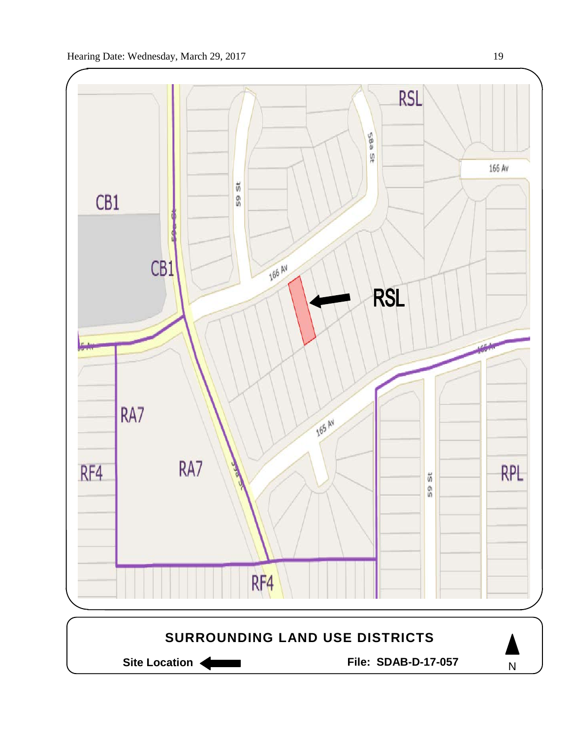

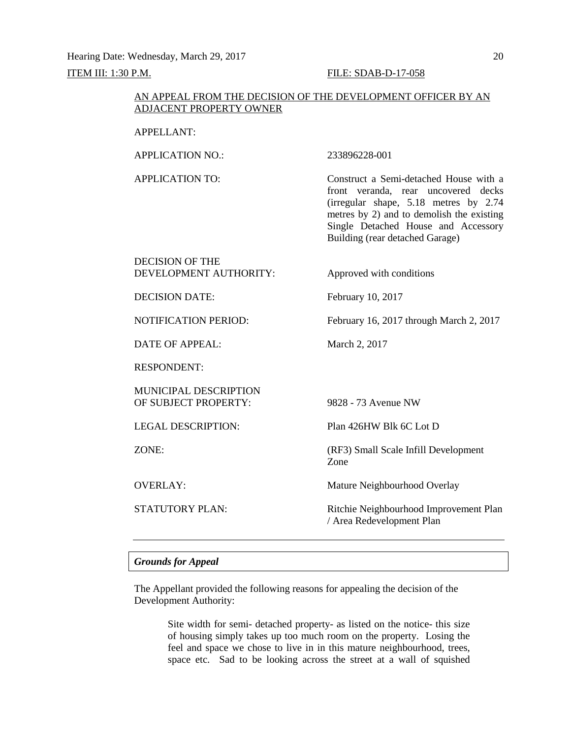Hearing Date: Wednesday, March 29, 2017 20 ITEM III: 1:30 P.M. FILE: SDAB-D-17-058

## AN APPEAL FROM THE DECISION OF THE DEVELOPMENT OFFICER BY AN ADJACENT PROPERTY OWNER

### APPELLANT:

APPLICATION NO.: 233896228-001

APPLICATION TO: Construct a Semi-detached House with a front veranda, rear uncovered decks (irregular shape, 5.18 metres by 2.74 metres by 2) and to demolish the existing Single Detached House and Accessory Building (rear detached Garage)

| <b>DECISION OF THE</b> |                          |
|------------------------|--------------------------|
| DEVELOPMENT AUTHORITY: | Approved with conditions |

DECISION DATE: February 10, 2017

NOTIFICATION PERIOD: February 16, 2017 through March 2, 2017

DATE OF APPEAL: March 2, 2017

RESPONDENT:

MUNICIPAL DESCRIPTION OF SUBJECT PROPERTY: 9828 - 73 Avenue NW

LEGAL DESCRIPTION: Plan 426HW Blk 6C Lot D

ZONE: (RF3) Small Scale Infill Development Zone

OVERLAY: Mature Neighbourhood Overlay

STATUTORY PLAN: Ritchie Neighbourhood Improvement Plan / Area Redevelopment Plan

## *Grounds for Appeal*

The Appellant provided the following reasons for appealing the decision of the Development Authority:

> Site width for semi- detached property- as listed on the notice- this size of housing simply takes up too much room on the property. Losing the feel and space we chose to live in in this mature neighbourhood, trees, space etc. Sad to be looking across the street at a wall of squished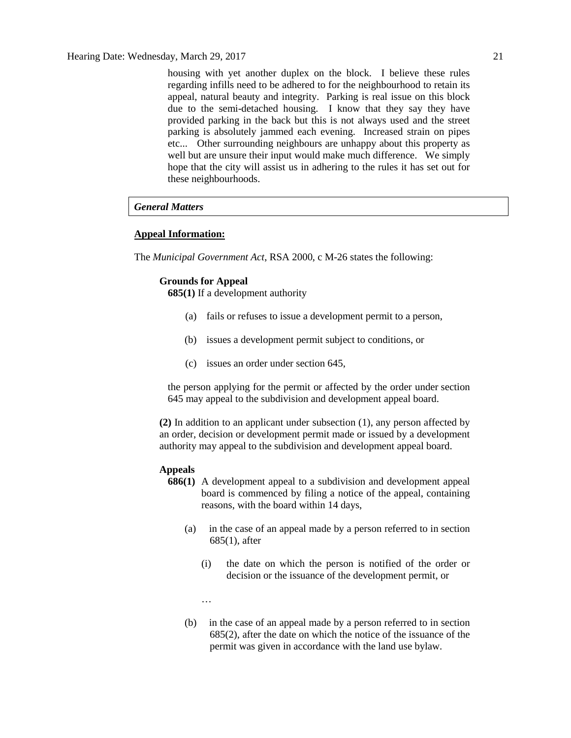housing with yet another duplex on the block. I believe these rules regarding infills need to be adhered to for the neighbourhood to retain its appeal, natural beauty and integrity. Parking is real issue on this block due to the semi-detached housing. I know that they say they have provided parking in the back but this is not always used and the street parking is absolutely jammed each evening. Increased strain on pipes etc... Other surrounding neighbours are unhappy about this property as well but are unsure their input would make much difference. We simply hope that the city will assist us in adhering to the rules it has set out for these neighbourhoods.

# *General Matters*

#### **Appeal Information:**

The *Municipal Government Act*, RSA 2000, c M-26 states the following:

# **Grounds for Appeal**

**685(1)** If a development authority

- (a) fails or refuses to issue a development permit to a person,
- (b) issues a development permit subject to conditions, or
- (c) issues an order under section 645,

the person applying for the permit or affected by the order under section 645 may appeal to the subdivision and development appeal board.

**(2)** In addition to an applicant under subsection (1), any person affected by an order, decision or development permit made or issued by a development authority may appeal to the subdivision and development appeal board.

#### **Appeals**

- **686(1)** A development appeal to a subdivision and development appeal board is commenced by filing a notice of the appeal, containing reasons, with the board within 14 days,
	- (a) in the case of an appeal made by a person referred to in section 685(1), after
		- (i) the date on which the person is notified of the order or decision or the issuance of the development permit, or
		- …
	- (b) in the case of an appeal made by a person referred to in section 685(2), after the date on which the notice of the issuance of the permit was given in accordance with the land use bylaw.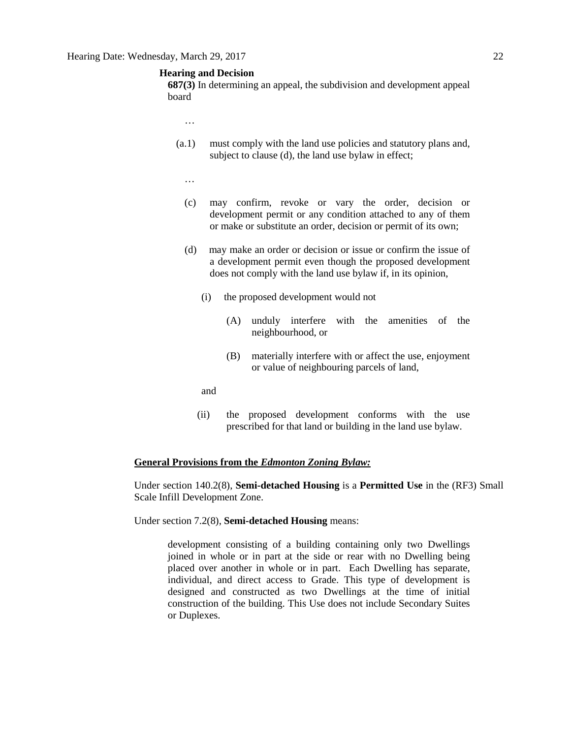# **Hearing and Decision**

**687(3)** In determining an appeal, the subdivision and development appeal board

- …
- (a.1) must comply with the land use policies and statutory plans and, subject to clause (d), the land use bylaw in effect;
	- …
	- (c) may confirm, revoke or vary the order, decision or development permit or any condition attached to any of them or make or substitute an order, decision or permit of its own;
	- (d) may make an order or decision or issue or confirm the issue of a development permit even though the proposed development does not comply with the land use bylaw if, in its opinion,
		- (i) the proposed development would not
			- (A) unduly interfere with the amenities of the neighbourhood, or
			- (B) materially interfere with or affect the use, enjoyment or value of neighbouring parcels of land,
		- and
		- (ii) the proposed development conforms with the use prescribed for that land or building in the land use bylaw.

#### **General Provisions from the** *Edmonton Zoning Bylaw:*

Under section 140.2(8), **Semi-detached Housing** is a **Permitted Use** in the (RF3) Small Scale Infill Development Zone.

Under section 7.2(8), **Semi-detached Housing** means:

development consisting of a building containing only two Dwellings joined in whole or in part at the side or rear with no Dwelling being placed over another in whole or in part. Each Dwelling has separate, individual, and direct access to Grade. This type of development is designed and constructed as two Dwellings at the time of initial construction of the building. This Use does not include Secondary Suites or Duplexes.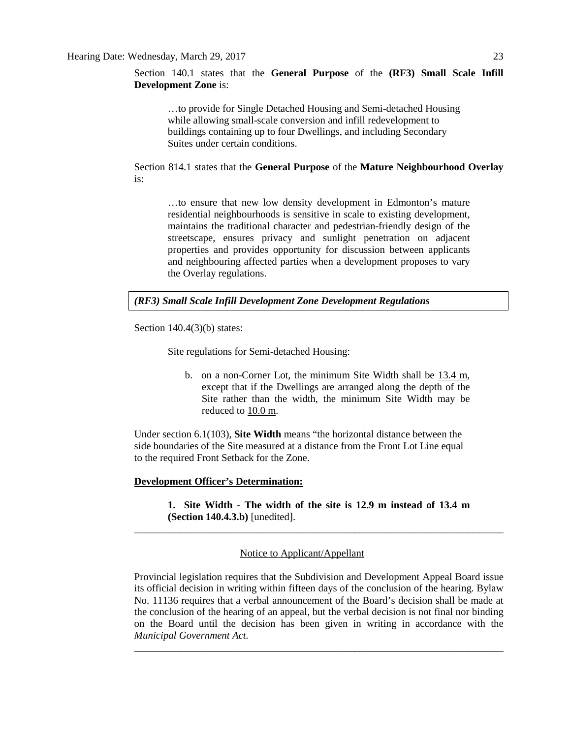Section 140.1 states that the **General Purpose** of the **(RF3) Small Scale Infill Development Zone** is:

…to provide for Single Detached Housing and Semi-detached Housing while allowing small-scale conversion and infill redevelopment to buildings containing up to four Dwellings, and including Secondary Suites under certain conditions.

Section 814.1 states that the **General Purpose** of the **Mature Neighbourhood Overlay** is:

…to ensure that new low density development in Edmonton's mature residential neighbourhoods is sensitive in scale to existing development, maintains the traditional character and pedestrian-friendly design of the streetscape, ensures privacy and sunlight penetration on adjacent properties and provides opportunity for discussion between applicants and neighbouring affected parties when a development proposes to vary the Overlay regulations.

# *(RF3) Small Scale Infill Development Zone Development Regulations*

Section 140.4(3)(b) states:

Site regulations for Semi-detached Housing:

b. on a non-Corner Lot, the minimum Site Width shall be 13.4 m, except that if the Dwellings are arranged along the depth of the Site rather than the width, the minimum Site Width may be reduced to 10.0 m.

Under section 6.1(103), **Site Width** means "the horizontal distance between the side boundaries of the Site measured at a distance from the Front Lot Line equal to the required Front Setback for the Zone.

# **Development Officer's Determination:**

**1. Site Width - The width of the site is 12.9 m instead of 13.4 m (Section 140.4.3.b)** [unedited]. \_\_\_\_\_\_\_\_\_\_\_\_\_\_\_\_\_\_\_\_\_\_\_\_\_\_\_\_\_\_\_\_\_\_\_\_\_\_\_\_\_\_\_\_\_\_\_\_\_\_\_\_\_\_\_\_\_\_\_\_\_\_\_\_\_\_\_\_\_\_\_\_

# Notice to Applicant/Appellant

Provincial legislation requires that the Subdivision and Development Appeal Board issue its official decision in writing within fifteen days of the conclusion of the hearing. Bylaw No. 11136 requires that a verbal announcement of the Board's decision shall be made at the conclusion of the hearing of an appeal, but the verbal decision is not final nor binding on the Board until the decision has been given in writing in accordance with the *Municipal Government Act.*

\_\_\_\_\_\_\_\_\_\_\_\_\_\_\_\_\_\_\_\_\_\_\_\_\_\_\_\_\_\_\_\_\_\_\_\_\_\_\_\_\_\_\_\_\_\_\_\_\_\_\_\_\_\_\_\_\_\_\_\_\_\_\_\_\_\_\_\_\_\_\_\_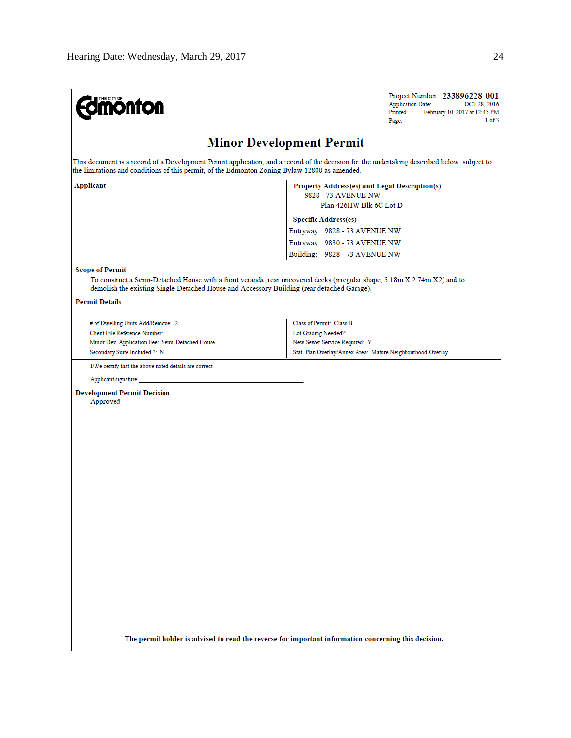**Edinonton** 

Project Number: 233896228-001 Application Date: OCT 28, 2016  $Pinted:$ February 10, 2017 at 12:45 PM Page:  $1 of 3$ 

# **Minor Development Permit**

This document is a record of a Development Permit application, and a record of the decision for the undertaking described below, subject to the limitations and conditions of this permit, of the Edmonton Zoning Bylaw 12800 as amended.

| Applicant | Property Address(es) and Legal Description(s)<br>9828 - 73 AVENUE NW<br>Plan 426HW Blk 6C Lot D |  |  |
|-----------|-------------------------------------------------------------------------------------------------|--|--|
|           | <b>Specific Address(es)</b>                                                                     |  |  |
|           | Entryway: 9828 - 73 AVENUE NW                                                                   |  |  |
|           | Entryway: 9830 - 73 AVENUE NW                                                                   |  |  |
|           | Building: 9828 - 73 AVENUE NW                                                                   |  |  |
|           |                                                                                                 |  |  |

#### **Scope of Permit**

To construct a Semi-Detached House with a front veranda, rear uncovered decks (irregular shape, 5.18m X 2.74m X2) and to demolish the existing Single Detached House and Accessory Building (rear detached Garage).

#### **Permit Details**

| # of Dwelling Units Add/Remove: 2               | Class of Permit: Class B                                    |
|-------------------------------------------------|-------------------------------------------------------------|
| Client File Reference Number:                   | Lot Grading Needed?:                                        |
| Minor Dev. Application Fee: Semi-Detached House | New Sewer Service Required: Y                               |
| Secondary Suite Included ?: N                   | Stat. Plan Overlay/Annex Area: Mature Neighbourhood Overlay |

I/We certify that the above noted details are correct.

Applicant signature:

**Development Permit Decision** 

Approved

The permit holder is advised to read the reverse for important information concerning this decision.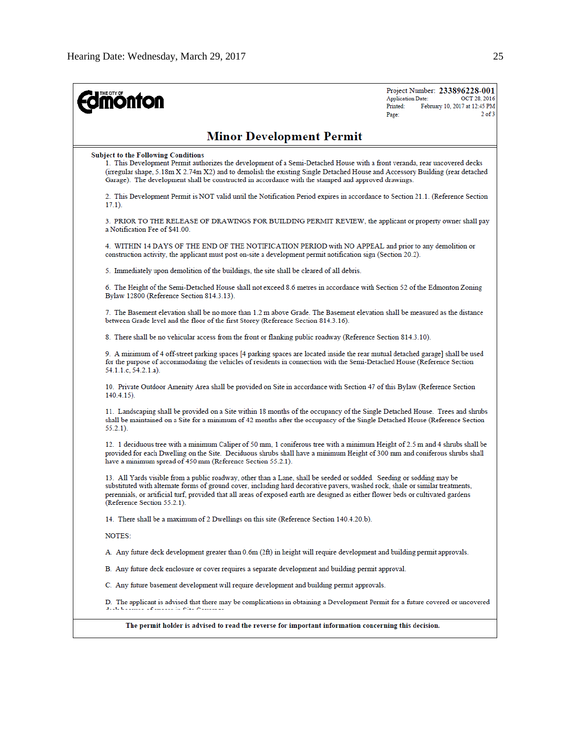| <b>nonton</b>                                                                                                                                                                                                                                                                                                                                                                                                             | Project Number: 233896228-001<br><b>Application Date:</b><br>OCT 28, 2016<br>Printed:<br>February 10, 2017 at 12:45 PM<br>2 <sub>of</sub> 3<br>Page: |
|---------------------------------------------------------------------------------------------------------------------------------------------------------------------------------------------------------------------------------------------------------------------------------------------------------------------------------------------------------------------------------------------------------------------------|------------------------------------------------------------------------------------------------------------------------------------------------------|
| <b>Minor Development Permit</b>                                                                                                                                                                                                                                                                                                                                                                                           |                                                                                                                                                      |
| <b>Subject to the Following Conditions</b><br>1. This Development Permit authorizes the development of a Semi-Detached House with a front veranda, rear uncovered decks<br>(irregular shape, 5.18m X 2.74m X2) and to demolish the existing Single Detached House and Accessory Building (rear detached<br>Garage). The development shall be constructed in accordance with the stamped and approved drawings.            |                                                                                                                                                      |
| 2. This Development Permit is NOT valid until the Notification Period expires in accordance to Section 21.1. (Reference Section<br>$17.1$ ).                                                                                                                                                                                                                                                                              |                                                                                                                                                      |
| 3. PRIOR TO THE RELEASE OF DRAWINGS FOR BUILDING PERMIT REVIEW, the applicant or property owner shall pay<br>a Notification Fee of \$41.00.                                                                                                                                                                                                                                                                               |                                                                                                                                                      |
| 4. WITHIN 14 DAYS OF THE END OF THE NOTIFICATION PERIOD with NO APPEAL and prior to any demolition or<br>construction activity, the applicant must post on-site a development permit notification sign (Section 20.2).                                                                                                                                                                                                    |                                                                                                                                                      |
| 5. Immediately upon demolition of the buildings, the site shall be cleared of all debris.                                                                                                                                                                                                                                                                                                                                 |                                                                                                                                                      |
| 6. The Height of the Semi-Detached House shall not exceed 8.6 metres in accordance with Section 52 of the Edmonton Zoning<br>Bylaw 12800 (Reference Section 814.3.13).                                                                                                                                                                                                                                                    |                                                                                                                                                      |
| 7. The Basement elevation shall be no more than 1.2 m above Grade. The Basement elevation shall be measured as the distance<br>between Grade level and the floor of the first Storey (Reference Section 814.3.16).                                                                                                                                                                                                        |                                                                                                                                                      |
| 8. There shall be no vehicular access from the front or flanking public roadway (Reference Section 814.3.10).                                                                                                                                                                                                                                                                                                             |                                                                                                                                                      |
| 9. A minimum of 4 off-street parking spaces [4 parking spaces are located inside the rear mutual detached garage] shall be used<br>for the purpose of accommodating the vehicles of residents in connection with the Semi-Detached House (Reference Section<br>54.1.1.c, 54.2.1.a).                                                                                                                                       |                                                                                                                                                      |
| 10. Private Outdoor Amenity Area shall be provided on Site in accordance with Section 47 of this Bylaw (Reference Section<br>$140.4.15$ ).                                                                                                                                                                                                                                                                                |                                                                                                                                                      |
| 11. Landscaping shall be provided on a Site within 18 months of the occupancy of the Single Detached House. Trees and shrubs<br>shall be maintained on a Site for a minimum of 42 months after the occupancy of the Single Detached House (Reference Section<br>55.2.1).                                                                                                                                                  |                                                                                                                                                      |
| 12. 1 deciduous tree with a minimum Caliper of 50 mm, 1 coniferous tree with a minimum Height of 2.5 m and 4 shrubs shall be<br>provided for each Dwelling on the Site. Deciduous shrubs shall have a minimum Height of 300 mm and coniferous shrubs shall<br>have a minimum spread of 450 mm (Reference Section 55.2.1).                                                                                                 |                                                                                                                                                      |
| 13. All Yards visible from a public roadway, other than a Lane, shall be seeded or sodded. Seeding or sodding may be<br>substituted with alternate forms of ground cover, including hard decorative pavers, washed rock, shale or similar treatments,<br>perennials, or artificial turf, provided that all areas of exposed earth are designed as either flower beds or cultivated gardens<br>(Reference Section 55.2.1). |                                                                                                                                                      |
| 14. There shall be a maximum of 2 Dwellings on this site (Reference Section 140.4.20.b).                                                                                                                                                                                                                                                                                                                                  |                                                                                                                                                      |
| NOTES:                                                                                                                                                                                                                                                                                                                                                                                                                    |                                                                                                                                                      |
| A. Any future deck development greater than 0.6m (2ft) in height will require development and building permit approvals.                                                                                                                                                                                                                                                                                                  |                                                                                                                                                      |
| B. Any future deck enclosure or cover requires a separate development and building permit approval.                                                                                                                                                                                                                                                                                                                       |                                                                                                                                                      |
| C. Any future basement development will require development and building permit approvals.                                                                                                                                                                                                                                                                                                                                |                                                                                                                                                      |
| D. The applicant is advised that there may be complications in obtaining a Development Permit for a future covered or uncovered<br>death the company of concerns the Michael Macrossopher                                                                                                                                                                                                                                 |                                                                                                                                                      |
| The permit holder is advised to read the reverse for important information concerning this decision.                                                                                                                                                                                                                                                                                                                      |                                                                                                                                                      |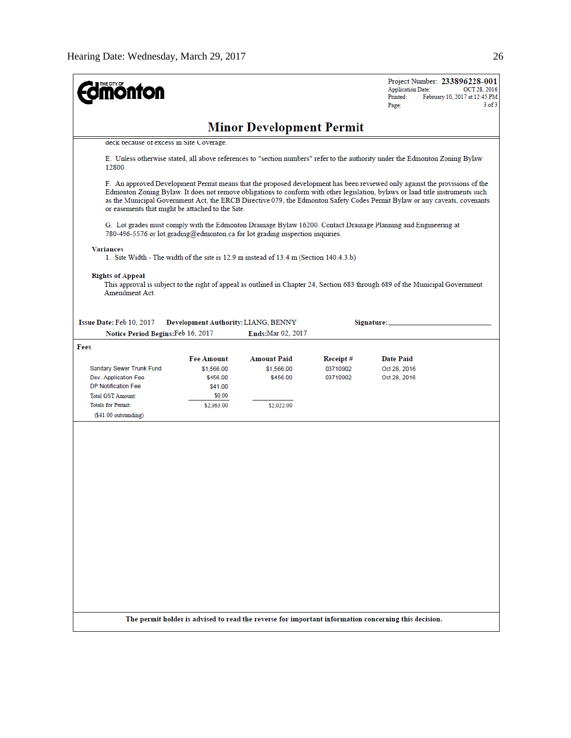| <b>monton</b>                                                                                             |                                     |                    |           | Project Number: 233896228-001<br><b>Application Date:</b><br>OCT 28, 2016<br>Printed:<br>February 10, 2017 at 12:45 PM<br>$3$ of $3$<br>Page:                                                                                                                                                                                                                                             |  |  |
|-----------------------------------------------------------------------------------------------------------|-------------------------------------|--------------------|-----------|-------------------------------------------------------------------------------------------------------------------------------------------------------------------------------------------------------------------------------------------------------------------------------------------------------------------------------------------------------------------------------------------|--|--|
|                                                                                                           | <b>Minor Development Permit</b>     |                    |           |                                                                                                                                                                                                                                                                                                                                                                                           |  |  |
| deck because of excess in Site Coverage.                                                                  |                                     |                    |           |                                                                                                                                                                                                                                                                                                                                                                                           |  |  |
| 12800.                                                                                                    |                                     |                    |           | E. Unless otherwise stated, all above references to "section numbers" refer to the authority under the Edmonton Zoning Bylaw                                                                                                                                                                                                                                                              |  |  |
| or easements that might be attached to the Site.                                                          |                                     |                    |           | F. An approved Development Permit means that the proposed development has been reviewed only against the provisions of the<br>Edmonton Zoning Bylaw. It does not remove obligations to conform with other legislation, bylaws or land title instruments such<br>as the Municipal Government Act, the ERCB Directive 079, the Edmonton Safety Codes Permit Bylaw or any caveats, covenants |  |  |
| 780-496-5576 or lot grading@edmonton.ca for lot grading inspection inquiries.                             |                                     |                    |           | G. Lot grades must comply with the Edmonton Drainage Bylaw 16200. Contact Drainage Planning and Engineering at                                                                                                                                                                                                                                                                            |  |  |
| <b>Variances</b><br>1. Site Width - The width of the site is 12.9 m instead of 13.4 m (Section 140.4.3.b) |                                     |                    |           |                                                                                                                                                                                                                                                                                                                                                                                           |  |  |
| <b>Rights of Appeal</b><br>Amendment Act.                                                                 |                                     |                    |           | This approval is subject to the right of appeal as outlined in Chapter 24, Section 683 through 689 of the Municipal Government                                                                                                                                                                                                                                                            |  |  |
| Issue Date: Feb 10, 2017                                                                                  | Development Authority: LIANG, BENNY |                    |           | Signature: _                                                                                                                                                                                                                                                                                                                                                                              |  |  |
| Notice Period Begins: Feb 16, 2017                                                                        |                                     | Ends: Mar 02, 2017 |           |                                                                                                                                                                                                                                                                                                                                                                                           |  |  |
| Fees                                                                                                      |                                     |                    |           |                                                                                                                                                                                                                                                                                                                                                                                           |  |  |
|                                                                                                           | <b>Fee Amount</b>                   | <b>Amount Paid</b> | Receipt # | <b>Date Paid</b>                                                                                                                                                                                                                                                                                                                                                                          |  |  |
| Sanitary Sewer Trunk Fund                                                                                 | \$1,566.00                          | \$1,566.00         | 03710902  | Oct 28, 2016                                                                                                                                                                                                                                                                                                                                                                              |  |  |
| Dev. Application Fee                                                                                      | \$456.00                            | \$456.00           | 03710902  | Oct 28, 2016                                                                                                                                                                                                                                                                                                                                                                              |  |  |
| <b>DP Notification Fee</b>                                                                                | \$41.00                             |                    |           |                                                                                                                                                                                                                                                                                                                                                                                           |  |  |
| <b>Total GST Amount:</b>                                                                                  | \$0.00                              |                    |           |                                                                                                                                                                                                                                                                                                                                                                                           |  |  |
| <b>Totals for Permit:</b>                                                                                 | \$2,063.00                          | \$2,022.00         |           |                                                                                                                                                                                                                                                                                                                                                                                           |  |  |
| $( $41.00$ outstanding)                                                                                   |                                     |                    |           |                                                                                                                                                                                                                                                                                                                                                                                           |  |  |
| The permit holder is advised to read the reverse for important information concerning this decision.      |                                     |                    |           |                                                                                                                                                                                                                                                                                                                                                                                           |  |  |
|                                                                                                           |                                     |                    |           |                                                                                                                                                                                                                                                                                                                                                                                           |  |  |